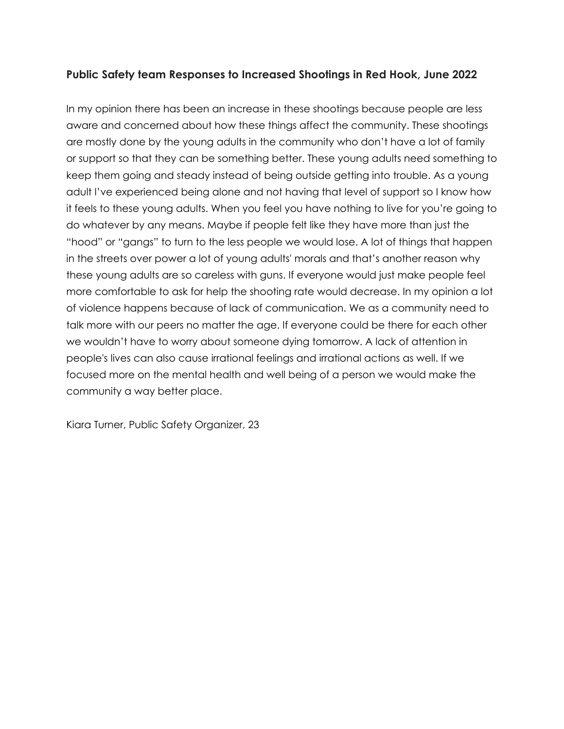## **Public Safety team Responses to Increased Shootings in Red Hook, June 2022**

In my opinion there has been an increase in these shootings because people are less aware and concerned about how these things affect the community. These shootings are mostly done by the young adults in the community who don't have a lot of family or support so that they can be something better. These young adults need something to keep them going and steady instead of being outside getting into trouble. As a young adult I've experienced being alone and not having that level of support so I know how it feels to these young adults. When you feel you have nothing to live for you're going to do whatever by any means. Maybe if people felt like they have more than just the "hood" or "gangs" to turn to the less people we would lose. A lot of things that happen in the streets over power a lot of young adults' morals and that's another reason why these young adults are so careless with guns. If everyone would just make people feel more comfortable to ask for help the shooting rate would decrease. In my opinion a lot of violence happens because of lack of communication. We as a community need to talk more with our peers no matter the age. If everyone could be there for each other we wouldn't have to worry about someone dying tomorrow. A lack of attention in people's lives can also cause irrational feelings and irrational actions as well. If we focused more on the mental health and well being of a person we would make the community a way better place.

Kiara Turner, Public Safety Organizer, 23